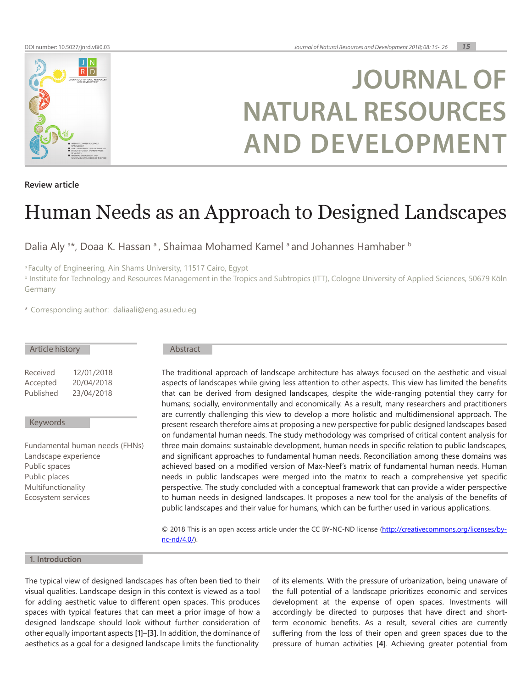

# **JOURNAL OF NATURAL RESOURCES AND DEVELOPMENT**

**Review article**

# Human Needs as an Approach to Designed Landscapes

Dalia Aly <sup>a\*</sup>, Doaa K. Hassan <sup>a</sup>, Shaimaa Mohamed Kamel <sup>a</sup> and Johannes Hamhaber b

a Faculty of Engineering, Ain Shams University, 11517 Cairo, Egypt

b Institute for Technology and Resources Management in the Tropics and Subtropics (ITT), Cologne University of Applied Sciences, 50679 Köln Germany

\* Corresponding author: daliaali@eng.asu.edu.eg

| Article history      |                                | Abstract                                                                                                                                                                                                                                                                                                    |
|----------------------|--------------------------------|-------------------------------------------------------------------------------------------------------------------------------------------------------------------------------------------------------------------------------------------------------------------------------------------------------------|
| Received             | 12/01/2018                     | The traditional approach of landscape architecture has always focused on the aesthetic and visual                                                                                                                                                                                                           |
| Accepted             | 20/04/2018                     | aspects of landscapes while giving less attention to other aspects. This view has limited the benefits                                                                                                                                                                                                      |
| Published            | 23/04/2018                     | that can be derived from designed landscapes, despite the wide-ranging potential they carry for<br>humans; socially, environmentally and economically. As a result, many researchers and practitioners<br>are currently challenging this view to develop a more holistic and multidimensional approach. The |
| Keywords             |                                | present research therefore aims at proposing a new perspective for public designed landscapes based<br>on fundamental human needs. The study methodology was comprised of critical content analysis for                                                                                                     |
|                      | Fundamental human needs (FHNs) | three main domains: sustainable development, human needs in specific relation to public landscapes,                                                                                                                                                                                                         |
| Landscape experience |                                | and significant approaches to fundamental human needs. Reconciliation among these domains was                                                                                                                                                                                                               |
| Public spaces        |                                | achieved based on a modified version of Max-Neef's matrix of fundamental human needs. Human                                                                                                                                                                                                                 |
| Public places        |                                | needs in public landscapes were merged into the matrix to reach a comprehensive yet specific                                                                                                                                                                                                                |
| Multifunctionality   |                                | perspective. The study concluded with a conceptual framework that can provide a wider perspective                                                                                                                                                                                                           |
| Ecosystem services   |                                | to human needs in designed landscapes. It proposes a new tool for the analysis of the benefits of<br>public landscapes and their value for humans, which can be further used in various applications.                                                                                                       |
|                      |                                |                                                                                                                                                                                                                                                                                                             |

© 2018 This is an open access article under the CC BY-NC-ND license ([http://creativecommons.org/licenses/by](http://creativecommons.org/licenses/by-nc-nd/4.0/)[nc-nd/4.0/](http://creativecommons.org/licenses/by-nc-nd/4.0/)).

# **1. Introduction**

The typical view of designed landscapes has often been tied to their visual qualities. Landscape design in this context is viewed as a tool for adding aesthetic value to different open spaces. This produces spaces with typical features that can meet a prior image of how a designed landscape should look without further consideration of other equally important aspects **[\[1\]](#page-10-0)**–**[\[3\]](#page-10-1)**. In addition, the dominance of aesthetics as a goal for a designed landscape limits the functionality

of its elements. With the pressure of urbanization, being unaware of the full potential of a landscape prioritizes economic and services development at the expense of open spaces. Investments will accordingly be directed to purposes that have direct and shortterm economic benefits. As a result, several cities are currently suffering from the loss of their open and green spaces due to the pressure of human activities **[\[4\]](#page-10-2)**. Achieving greater potential from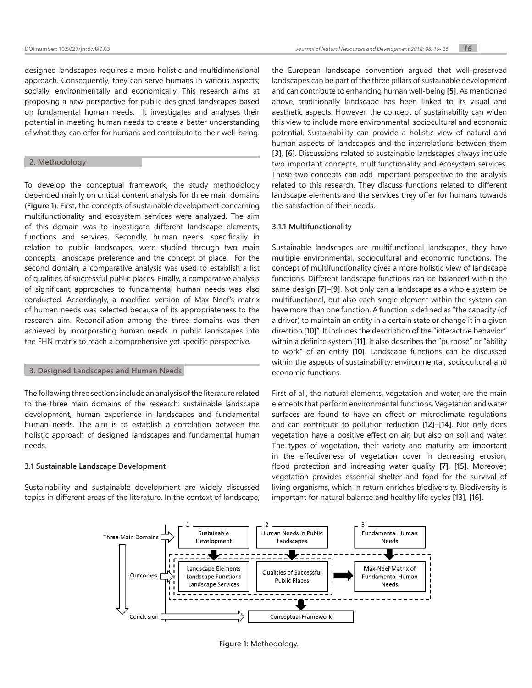designed landscapes requires a more holistic and multidimensional approach. Consequently, they can serve humans in various aspects; socially, environmentally and economically. This research aims at proposing a new perspective for public designed landscapes based on fundamental human needs. It investigates and analyses their potential in meeting human needs to create a better understanding of what they can offer for humans and contribute to their well-being.

# **2. Methodology**

To develop the conceptual framework, the study methodology depended mainly on critical content analysis for three main domains (**[Figure 1](#page-1-0)**). First, the concepts of sustainable development concerning multifunctionality and ecosystem services were analyzed. The aim of this domain was to investigate different landscape elements, functions and services. Secondly, human needs, specifically in relation to public landscapes, were studied through two main concepts, landscape preference and the concept of place. For the second domain, a comparative analysis was used to establish a list of qualities of successful public places. Finally, a comparative analysis of significant approaches to fundamental human needs was also conducted. Accordingly, a modified version of Max Neef's matrix of human needs was selected because of its appropriateness to the research aim. Reconciliation among the three domains was then achieved by incorporating human needs in public landscapes into the FHN matrix to reach a comprehensive yet specific perspective.

## **3. Designed Landscapes and Human Needs**

The following three sections include an analysis of the literature related to the three main domains of the research: sustainable landscape development, human experience in landscapes and fundamental human needs. The aim is to establish a correlation between the holistic approach of designed landscapes and fundamental human needs.

#### **3.1 Sustainable Landscape Development**

Sustainability and sustainable development are widely discussed topics in different areas of the literature. In the context of landscape,

the European landscape convention argued that well-preserved landscapes can be part of the three pillars of sustainable development and can contribute to enhancing human well-being **[\[5\]](#page-10-3)**. As mentioned above, traditionally landscape has been linked to its visual and aesthetic aspects. However, the concept of sustainability can widen this view to include more environmental, sociocultural and economic potential. Sustainability can provide a holistic view of natural and human aspects of landscapes and the interrelations between them **[\[3\]](#page-10-1)**, **[\[6\]](#page-10-4)**. Discussions related to sustainable landscapes always include two important concepts, multifunctionality and ecosystem services. These two concepts can add important perspective to the analysis related to this research. They discuss functions related to different landscape elements and the services they offer for humans towards the satisfaction of their needs.

#### **3.1.1 Multifunctionality**

Sustainable landscapes are multifunctional landscapes, they have multiple environmental, sociocultural and economic functions. The concept of multifunctionality gives a more holistic view of landscape functions. Different landscape functions can be balanced within the same design **[\[7\]](#page-10-5)**–**[\[9\]](#page-10-6)**. Not only can a landscape as a whole system be multifunctional, but also each single element within the system can have more than one function. A function is defined as "the capacity (of a driver) to maintain an entity in a certain state or change it in a given direction **[\[10\]](#page-10-7)**". It includes the description of the "interactive behavior" within a definite system **[\[11\]](#page-10-8)**. It also describes the "purpose" or "ability to work" of an entity **[\[10\]](#page-10-7)**. Landscape functions can be discussed within the aspects of sustainability; environmental, sociocultural and economic functions.

First of all, the natural elements, vegetation and water, are the main elements that perform environmental functions. Vegetation and water surfaces are found to have an effect on microclimate regulations and can contribute to pollution reduction **[\[12\]](#page-10-9)**–**[\[14\]](#page-10-10)**. Not only does vegetation have a positive effect on air, but also on soil and water. The types of vegetation, their variety and maturity are important in the effectiveness of vegetation cover in decreasing erosion, flood protection and increasing water quality **[\[7\]](#page-10-5)**, **[\[15\]](#page-10-11)**. Moreover, vegetation provides essential shelter and food for the survival of living organisms, which in return enriches biodiversity. Biodiversity is important for natural balance and healthy life cycles **[\[13\]](#page-10-12)**, **[\[16\]](#page-10-13)**.



<span id="page-1-0"></span>**Figure 1:** Methodology.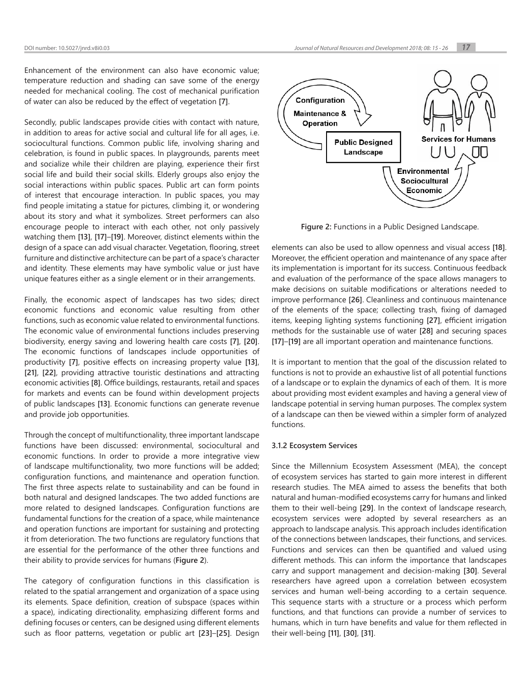Enhancement of the environment can also have economic value; temperature reduction and shading can save some of the energy needed for mechanical cooling. The cost of mechanical purification of water can also be reduced by the effect of vegetation **[\[7\]](#page-10-5)**.

Secondly, public landscapes provide cities with contact with nature, in addition to areas for active social and cultural life for all ages, i.e. sociocultural functions. Common public life, involving sharing and celebration, is found in public spaces. In playgrounds, parents meet and socialize while their children are playing, experience their first social life and build their social skills. Elderly groups also enjoy the social interactions within public spaces. Public art can form points of interest that encourage interaction. In public spaces, you may find people imitating a statue for pictures, climbing it, or wondering about its story and what it symbolizes. Street performers can also encourage people to interact with each other, not only passively watching them **[\[13\]](#page-10-12)**, **[\[17\]](#page-10-14)**–**[\[19\]](#page-10-15)**. Moreover, distinct elements within the design of a space can add visual character. Vegetation, flooring, street furniture and distinctive architecture can be part of a space's character and identity. These elements may have symbolic value or just have unique features either as a single element or in their arrangements.

Finally, the economic aspect of landscapes has two sides; direct economic functions and economic value resulting from other functions, such as economic value related to environmental functions. The economic value of environmental functions includes preserving biodiversity, energy saving and lowering health care costs **[\[7\]](#page-10-5)**, **[\[20\]](#page-10-16)**. The economic functions of landscapes include opportunities of productivity **[\[7\]](#page-10-5)**, positive effects on increasing property value **[\[13\]](#page-10-12)**, **[\[21\]](#page-10-17)**, **[\[22\]](#page-10-18)**, providing attractive touristic destinations and attracting economic activities **[\[8\]](#page-10-19)**. Office buildings, restaurants, retail and spaces for markets and events can be found within development projects of public landscapes **[\[13\]](#page-10-12)**. Economic functions can generate revenue and provide job opportunities.

Through the concept of multifunctionality, three important landscape functions have been discussed: environmental, sociocultural and economic functions. In order to provide a more integrative view of landscape multifunctionality, two more functions will be added; configuration functions, and maintenance and operation function. The first three aspects relate to sustainability and can be found in both natural and designed landscapes. The two added functions are more related to designed landscapes. Configuration functions are fundamental functions for the creation of a space, while maintenance and operation functions are important for sustaining and protecting it from deterioration. The two functions are regulatory functions that are essential for the performance of the other three functions and their ability to provide services for humans (**[Figure 2](#page-2-0)**).

The category of configuration functions in this classification is related to the spatial arrangement and organization of a space using its elements. Space definition, creation of subspace (spaces within a space), indicating directionality, emphasizing different forms and defining focuses or centers, can be designed using different elements such as floor patterns, vegetation or public art **[\[23\]](#page-10-20)**–**[\[25\]](#page-10-21)**. Design



<span id="page-2-0"></span>**Figure 2:** Functions in a Public Designed Landscape.

elements can also be used to allow openness and visual access **[\[18\]](#page-10-22)**. Moreover, the efficient operation and maintenance of any space after its implementation is important for its success. Continuous feedback and evaluation of the performance of the space allows managers to make decisions on suitable modifications or alterations needed to improve performance **[\[26\]](#page-10-23)**. Cleanliness and continuous maintenance of the elements of the space; collecting trash, fixing of damaged items, keeping lighting systems functioning **[27]**, efficient irrigation methods for the sustainable use of water **[\[28\]](#page-11-0)** and securing spaces **[\[17\]](#page-10-14)**–**[\[19\]](#page-10-15)** are all important operation and maintenance functions.

It is important to mention that the goal of the discussion related to functions is not to provide an exhaustive list of all potential functions of a landscape or to explain the dynamics of each of them. It is more about providing most evident examples and having a general view of landscape potential in serving human purposes. The complex system of a landscape can then be viewed within a simpler form of analyzed functions.

# **3.1.2 Ecosystem Services**

Since the Millennium Ecosystem Assessment (MEA), the concept of ecosystem services has started to gain more interest in different research studies. The MEA aimed to assess the benefits that both natural and human-modified ecosystems carry for humans and linked them to their well-being **[\[29\]](#page-11-1)**. In the context of landscape research, ecosystem services were adopted by several researchers as an approach to landscape analysis. This approach includes identification of the connections between landscapes, their functions, and services. Functions and services can then be quantified and valued using different methods. This can inform the importance that landscapes carry and support management and decision-making **[\[30\]](#page-11-2)**. Several researchers have agreed upon a correlation between ecosystem services and human well-being according to a certain sequence. This sequence starts with a structure or a process which perform functions, and that functions can provide a number of services to humans, which in turn have benefits and value for them reflected in their well-being **[\[11\]](#page-10-8)**, **[\[30\]](#page-11-2)**, **[\[31\]](#page-11-3)**.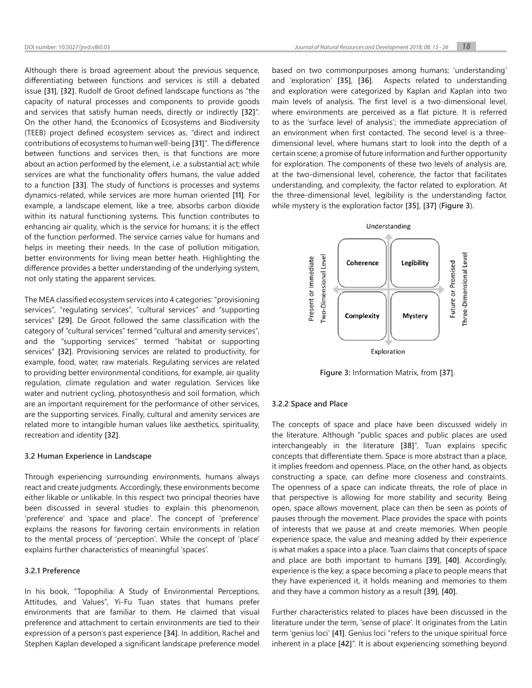Although there is broad agreement about the previous sequence, differentiating between functions and services is still a debated issue **[\[31\]](#page-11-3)**, **[\[32\]](#page-11-4)**. Rudolf de Groot defined landscape functions as "the capacity of natural processes and components to provide goods and services that satisfy human needs, directly or indirectly **[\[32\]](#page-11-4)**". On the other hand, the Economics of Ecosystems and Biodiversity (TEEB) project defined ecosystem services as, "direct and indirect contributions of ecosystems to human well-being **[\[31\]](#page-11-3)**". The difference between functions and services then, is that functions are more about an action performed by the element, i.e. a substantial act; while services are what the functionality offers humans, the value added to a function **[\[33\]](#page-11-5)**. The study of functions is processes and systems dynamics-related, while services are more human oriented **[\[11\]](#page-10-8)**. For example, a landscape element, like a tree, absorbs carbon dioxide within its natural functioning systems. This function contributes to enhancing air quality, which is the service for humans; it is the effect of the function performed. The service carries value for humans and helps in meeting their needs. In the case of pollution mitigation, better environments for living mean better heath. Highlighting the difference provides a better understanding of the underlying system, not only stating the apparent services.

The MEA classified ecosystem services into 4 categories: "provisioning services", "regulating services", "cultural services" and "supporting services" **[\[29\]](#page-11-1)**. De Groot followed the same classification with the category of "cultural services" termed "cultural and amenity services", and the "supporting services" termed "habitat or supporting services" **[\[32\]](#page-11-4)**. Provisioning services are related to productivity, for example, food, water, raw materials. Regulating services are related to providing better environmental conditions, for example, air quality regulation, climate regulation and water regulation. Services like water and nutrient cycling, photosynthesis and soil formation, which are an important requirement for the performance of other services, are the supporting services. Finally, cultural and amenity services are related more to intangible human values like aesthetics, spirituality, recreation and identity **[\[32\]](#page-11-4)**.

# **3.2 Human Experience in Landscape**

Through experiencing surrounding environments, humans always react and create judgments. Accordingly, these environments become either likable or unlikable. In this respect two principal theories have been discussed in several studies to explain this phenomenon, 'preference' and 'space and place'. The concept of 'preference' explains the reasons for favoring certain environments in relation to the mental process of 'perception'. While the concept of 'place' explains further characteristics of meaningful 'spaces'.

#### **3.2.1 Preference**

In his book, "Topophilia: A Study of Environmental Perceptions, Attitudes, and Values", Yi-Fu Tuan states that humans prefer environments that are familiar to them. He claimed that visual preference and attachment to certain environments are tied to their expression of a person's past experience **[\[34\]](#page-11-6)**. In addition, Rachel and Stephen Kaplan developed a significant landscape preference model based on two commonpurposes among humans; 'understanding' and 'exploration' **[\[35\]](#page-11-7)**, **[\[36\]](#page-11-8)**. Aspects related to understanding and exploration were categorized by Kaplan and Kaplan into two main levels of analysis. The first level is a two-dimensional level, where environments are perceived as a flat picture. It is referred to as the 'surface level of analysis'; the immediate appreciation of an environment when first contacted. The second level is a threedimensional level, where humans start to look into the depth of a certain scene; a promise of future information and further opportunity for exploration. The components of these two levels of analysis are, at the two-dimensional level, coherence, the factor that facilitates understanding, and complexity, the factor related to exploration. At the three-dimensional level, legibility is the understanding factor, while mystery is the exploration factor **[\[35\]](#page-11-7)**, **[\[37\]](#page-11-9)** (**[Figure 3](#page-3-0)**).



<span id="page-3-0"></span>**Figure 3:** Information Matrix, from **[\[37\]](#page-11-9)**.

## **3.2.2 Space and Place**

The concepts of space and place have been discussed widely in the literature. Although "public spaces and public places are used interchangeably in the literature **[\[38\]](#page-11-10)**", Tuan explains specific concepts that differentiate them. Space is more abstract than a place, it implies freedom and openness. Place, on the other hand, as objects constructing a space, can define more closeness and constraints. The openness of a space can indicate threats, the role of place in that perspective is allowing for more stability and security. Being open, space allows movement, place can then be seen as points of pauses through the movement. Place provides the space with points of interests that we pause at and create memories. When people experience space, the value and meaning added by their experience is what makes a space into a place. Tuan claims that concepts of space and place are both important to humans **[\[39\]](#page-11-11)**, **[\[40\]](#page-11-12)**. Accordingly, experience is the key; a space becoming a place to people means that they have experienced it, it holds meaning and memories to them and they have a common history as a result **[\[39\]](#page-11-11)**, **[\[40\]](#page-11-12)**.

Further characteristics related to places have been discussed in the literature under the term, 'sense of place'. It originates from the Latin term 'genius loci' **[\[41\]](#page-11-13)**. Genius loci "refers to the unique spiritual force inherent in a place **[\[42\]](#page-11-14)**". It is about experiencing something beyond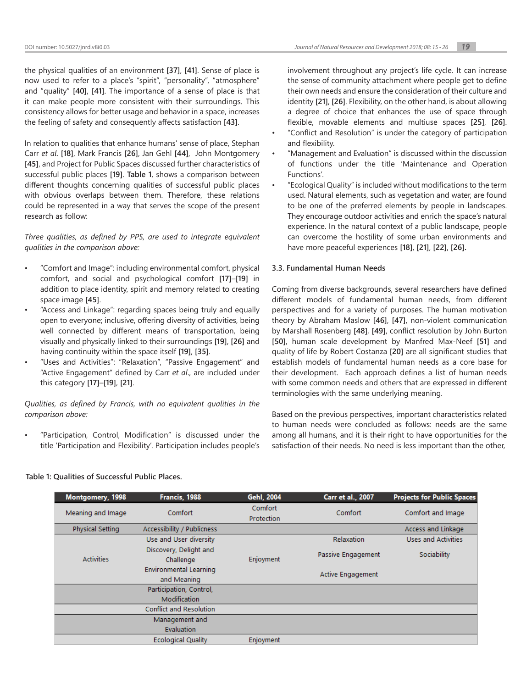the feeling of safety and consequently affects satisfaction **[\[43\]](#page-11-15)**.

In relation to qualities that enhance humans' sense of place, Stephan Carr *et al*. **[\[18\]](#page-10-22)**, Mark Francis **[\[26\]](#page-10-23)**, Jan Gehl **[\[44\]](#page-11-16)**, John Montgomery **[\[45\]](#page-11-17)**, and Project for Public Spaces discussed further characteristics of successful public places **[\[19\]](#page-10-15)**. **[Table 1](#page-4-0)**, shows a comparison between different thoughts concerning qualities of successful public places with obvious overlaps between them. Therefore, these relations could be represented in a way that serves the scope of the present research as follow:

*Three qualities, as defined by PPS, are used to integrate equivalent qualities in the comparison above:*

- "Comfort and Image": including environmental comfort, physical comfort, and social and psychological comfort **[\[17\]](#page-10-14)**–**[\[19\]](#page-10-15)** in addition to place identity, spirit and memory related to creating space image **[\[45\]](#page-11-17)**.
- "Access and Linkage": regarding spaces being truly and equally open to everyone; inclusive, offering diversity of activities, being well connected by different means of transportation, being visually and physically linked to their surroundings **[\[19\]](#page-10-15)**, **[\[26\]](#page-10-23)** and having continuity within the space itself **[\[19\]](#page-10-15)**, **[\[35\]](#page-11-7)**.
- "Uses and Activities": "Relaxation", "Passive Engagement" and "Active Engagement" defined by Carr *et al*., are included under this category **[\[17\]](#page-10-14)**–**[\[19\]](#page-10-15)**, **[\[21\]](#page-10-17)**.

*Qualities, as defined by Francis, with no equivalent qualities in the comparison above:*

• "Participation, Control, Modification" is discussed under the title 'Participation and Flexibility'. Participation includes people's involvement throughout any project's life cycle. It can increase the sense of community attachment where people get to define their own needs and ensure the consideration of their culture and identity **[\[21\]](#page-10-17)**, **[\[26\]](#page-10-23)**. Flexibility, on the other hand, is about allowing a degree of choice that enhances the use of space through flexible, movable elements and multiuse spaces **[\[25\]](#page-10-21)**, **[\[26\]](#page-10-23)**.

- "Conflict and Resolution" is under the category of participation and flexibility.
- "Management and Evaluation" is discussed within the discussion of functions under the title 'Maintenance and Operation Functions'.
- "Ecological Quality" is included without modifications to the term used. Natural elements, such as vegetation and water, are found to be one of the preferred elements by people in landscapes. They encourage outdoor activities and enrich the space's natural experience. In the natural context of a public landscape, people can overcome the hostility of some urban environments and have more peaceful experiences **[\[18\]](#page-10-22)**, **[\[21\]](#page-10-17)**, **[\[22\]](#page-10-18)**, **[\[26\].](#page-10-23)**

# **3.3. Fundamental Human Needs**

Coming from diverse backgrounds, several researchers have defined different models of fundamental human needs, from different perspectives and for a variety of purposes. The human motivation theory by Abraham Maslow **[\[46\]](#page-11-18)**, **[\[47\]](#page-11-19)**, non-violent communication by Marshall Rosenberg **[\[48\]](#page-11-20)**, **[\[49\]](#page-11-21)**, conflict resolution by John Burton **[\[50\]](#page-11-22)**, human scale development by Manfred Max-Neef **[\[51\]](#page-11-23)** and quality of life by Robert Costanza **[\[20\]](#page-10-16)** are all significant studies that establish models of fundamental human needs as a core base for their development. Each approach defines a list of human needs with some common needs and others that are expressed in different terminologies with the same underlying meaning.

Based on the previous perspectives, important characteristics related to human needs were concluded as follows: needs are the same among all humans, and it is their right to have opportunities for the satisfaction of their needs. No need is less important than the other,

<span id="page-4-0"></span>

| Montgomery, 1998 |                   | Francis, 1988                                | Gehl, 2004            | Carr et al., 2007  | <b>Projects for Public Spaces</b> |
|------------------|-------------------|----------------------------------------------|-----------------------|--------------------|-----------------------------------|
|                  | Meaning and Image | Comfort                                      | Comfort<br>Protection | Comfort            | Comfort and Image                 |
|                  | Physical Setting  | Accessibility / Publicness                   |                       |                    | Access and Linkage                |
|                  |                   | Use and User diversity                       |                       | <b>Relaxation</b>  | Uses and Activities               |
|                  | <b>Activities</b> | Discovery, Delight and<br>Challenge          | Enjoyment             | Passive Engagement | Sociability                       |
|                  |                   | <b>Environmental Learning</b><br>and Meaning |                       | Active Engagement  |                                   |
|                  |                   | Participation, Control,                      |                       |                    |                                   |
|                  |                   | Modification                                 |                       |                    |                                   |
|                  |                   | <b>Conflict and Resolution</b>               |                       |                    |                                   |
|                  |                   | Management and                               |                       |                    |                                   |
|                  |                   | Evaluation                                   |                       |                    |                                   |
|                  |                   | <b>Ecological Quality</b>                    | Enjoyment             |                    |                                   |
|                  |                   |                                              |                       |                    |                                   |

## **Table 1: Qualities of Successful Public Places.**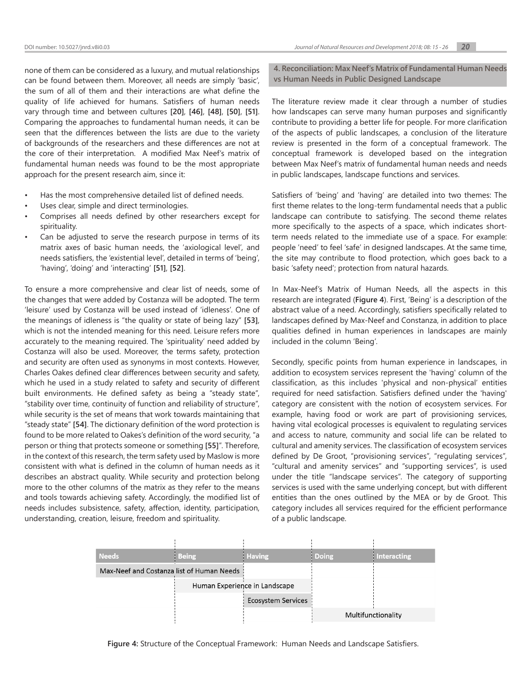none of them can be considered as a luxury, and mutual relationships can be found between them. Moreover, all needs are simply 'basic', the sum of all of them and their interactions are what define the quality of life achieved for humans. Satisfiers of human needs vary through time and between cultures **[\[20\]](#page-10-16)**, **[\[46\]](#page-11-18)**, **[\[48\]](#page-11-20)**, **[\[50\]](#page-11-22)**, **[\[51\]](#page-11-23)**. Comparing the approaches to fundamental human needs, it can be seen that the differences between the lists are due to the variety of backgrounds of the researchers and these differences are not at the core of their interpretation. A modified Max Neef's matrix of fundamental human needs was found to be the most appropriate approach for the present research aim, since it:

- Has the most comprehensive detailed list of defined needs.
- Uses clear, simple and direct terminologies.
- Comprises all needs defined by other researchers except for spirituality.
- Can be adjusted to serve the research purpose in terms of its matrix axes of basic human needs, the 'axiological level', and needs satisfiers, the 'existential level', detailed in terms of 'being', 'having', 'doing' and 'interacting' **[\[51\]](#page-11-23)**, **[\[52\]](#page-11-24)**.

To ensure a more comprehensive and clear list of needs, some of the changes that were added by Costanza will be adopted. The term 'leisure' used by Costanza will be used instead of 'idleness'. One of the meanings of idleness is "the quality or state of being lazy" **[\[53\]](#page-11-25)**, which is not the intended meaning for this need. Leisure refers more accurately to the meaning required. The 'spirituality' need added by Costanza will also be used. Moreover, the terms safety, protection and security are often used as synonyms in most contexts. However, Charles Oakes defined clear differences between security and safety, which he used in a study related to safety and security of different built environments. He defined safety as being a "steady state", "stability over time, continuity of function and reliability of structure", while security is the set of means that work towards maintaining that "steady state" **[\[54\]](#page-11-26)**. The dictionary definition of the word protection is found to be more related to Oakes's definition of the word security, "a person or thing that protects someone or something **[\[55\]](#page-11-27)**". Therefore, in the context of this research, the term safety used by Maslow is more consistent with what is defined in the column of human needs as it describes an abstract quality. While security and protection belong more to the other columns of the matrix as they refer to the means and tools towards achieving safety. Accordingly, the modified list of needs includes subsistence, safety, affection, identity, participation, understanding, creation, leisure, freedom and spirituality.

**4. Reconciliation: Max Neef's Matrix of Fundamental Human Needs vs Human Needs in Public Designed Landscape**

The literature review made it clear through a number of studies how landscapes can serve many human purposes and significantly contribute to providing a better life for people. For more clarification of the aspects of public landscapes, a conclusion of the literature review is presented in the form of a conceptual framework. The conceptual framework is developed based on the integration between Max Neef's matrix of fundamental human needs and needs in public landscapes, landscape functions and services.

Satisfiers of 'being' and 'having' are detailed into two themes: The first theme relates to the long-term fundamental needs that a public landscape can contribute to satisfying. The second theme relates more specifically to the aspects of a space, which indicates shortterm needs related to the immediate use of a space. For example: people 'need' to feel 'safe' in designed landscapes. At the same time, the site may contribute to flood protection, which goes back to a basic 'safety need'; protection from natural hazards.

In Max-Neef's Matrix of Human Needs, all the aspects in this research are integrated (**[Figure 4](#page-5-0)**). First, 'Being' is a description of the abstract value of a need. Accordingly, satisfiers specifically related to landscapes defined by Max-Neef and Constanza, in addition to place qualities defined in human experiences in landscapes are mainly included in the column 'Being'.

Secondly, specific points from human experience in landscapes, in addition to ecosystem services represent the 'having' column of the classification, as this includes 'physical and non-physical' entities required for need satisfaction. Satisfiers defined under the 'having' category are consistent with the notion of ecosystem services. For example, having food or work are part of provisioning services, having vital ecological processes is equivalent to regulating services and access to nature, community and social life can be related to cultural and amenity services. The classification of ecosystem services defined by De Groot, "provisioning services", "regulating services", "cultural and amenity services" and "supporting services", is used under the title "landscape services". The category of supporting services is used with the same underlying concept, but with different entities than the ones outlined by the MEA or by de Groot. This category includes all services required for the efficient performance of a public landscape.

| <b>Needs</b>                              | <b>Being</b>                  | <b>Having</b>             | <b>Doing</b>       | <b>Interacting</b> |
|-------------------------------------------|-------------------------------|---------------------------|--------------------|--------------------|
| Max-Neef and Costanza list of Human Needs |                               |                           |                    |                    |
|                                           | Human Experience in Landscape |                           |                    |                    |
|                                           |                               | <b>Ecosystem Services</b> |                    |                    |
|                                           |                               |                           | Multifunctionality |                    |

<span id="page-5-0"></span>**Figure 4:** Structure of the Conceptual Framework: Human Needs and Landscape Satisfiers.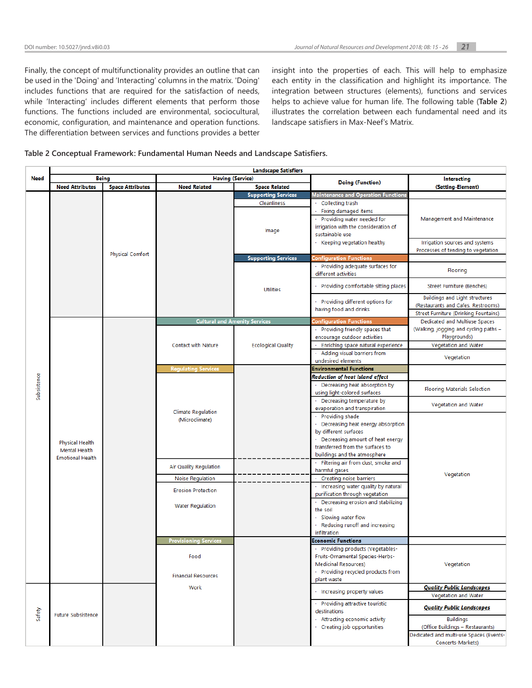Finally, the concept of multifunctionality provides an outline that can be used in the 'Doing' and 'Interacting' columns in the matrix. 'Doing' includes functions that are required for the satisfaction of needs, while 'Interacting' includes different elements that perform those functions. The functions included are environmental, sociocultural, economic, configuration, and maintenance and operation functions. The differentiation between services and functions provides a better insight into the properties of each. This will help to emphasize each entity in the classification and highlight its importance. The integration between structures (elements), functions and services helps to achieve value for human life. The following table (**[Table 2](#page-6-0)**) illustrates the correlation between each fundamental need and its landscape satisfiers in Max-Neef's Matrix.

# <span id="page-6-0"></span>**Table 2 Conceptual Framework: Fundamental Human Needs and Landscape Satisfiers.**

|             | <b>Landscape Satisfiers</b>                                        |                         |                                             |                             |                                       |                                         |  |  |
|-------------|--------------------------------------------------------------------|-------------------------|---------------------------------------------|-----------------------------|---------------------------------------|-----------------------------------------|--|--|
| Need        | Being                                                              |                         | <b>Having (Service)</b>                     |                             |                                       | <b>Interacting</b>                      |  |  |
|             | <b>Need Attributes</b>                                             | <b>Space Attributes</b> | <b>Need Related</b>                         | <b>Space Related</b>        | <b>Doing (Function)</b>               | (Setting-Element)                       |  |  |
|             |                                                                    |                         |                                             | <b>Supporting Services</b>  | Maintenance and Operation Functions   |                                         |  |  |
|             |                                                                    |                         |                                             |                             |                                       |                                         |  |  |
|             |                                                                    |                         |                                             | Cleanliness                 | $\cdot$ Collecting trash              |                                         |  |  |
|             |                                                                    |                         |                                             |                             | Fixing damaged items                  |                                         |  |  |
|             |                                                                    |                         |                                             |                             | Providing water needed for            | Management and Maintenance              |  |  |
|             |                                                                    |                         |                                             | Image                       | irrigation with the consideration of  |                                         |  |  |
|             |                                                                    |                         |                                             |                             | sustainable use                       |                                         |  |  |
|             |                                                                    |                         |                                             |                             | $\cdot$ Keeping vegetation healthy    | Irrigation sources and systems          |  |  |
|             |                                                                    |                         |                                             |                             |                                       | Processes of tending to vegetation      |  |  |
|             |                                                                    | <b>Physical Comfort</b> |                                             | <b>Supporting Services</b>  | <b>Configuration Functions</b>        |                                         |  |  |
|             |                                                                    |                         |                                             |                             | Providing adequate surfaces for       |                                         |  |  |
|             |                                                                    |                         |                                             |                             | different activities                  | Flooring                                |  |  |
|             |                                                                    |                         |                                             |                             |                                       |                                         |  |  |
|             |                                                                    |                         |                                             | <b>Utilities</b>            | Providing comfortable sitting places  | Street Furniture (Benches)              |  |  |
|             |                                                                    |                         |                                             |                             |                                       |                                         |  |  |
|             |                                                                    |                         |                                             |                             | Providing different options for       | Buildings and Light structures          |  |  |
|             |                                                                    |                         |                                             |                             | having food and drinks                | (Restaurants and Cafes, Restrooms)      |  |  |
|             |                                                                    |                         |                                             |                             |                                       | Street Furniture (Drinking Fountains)   |  |  |
|             |                                                                    |                         | <b>Cultural and Amenity Services</b>        |                             | onfiguration Functions'               | Dedicated and Multiuse Spaces           |  |  |
|             |                                                                    |                         |                                             |                             | · Providing friendly spaces that      | (Walking, jogging and cycling paths –   |  |  |
|             |                                                                    |                         |                                             |                             | encourage outdoor activities          | Playgrounds)                            |  |  |
|             |                                                                    |                         | <b>Contact with Nature</b>                  | <b>Ecological Quality</b>   | Enriching space natural experience    | Vegetation and Water                    |  |  |
|             |                                                                    |                         |                                             |                             | · Adding visual barriers from         |                                         |  |  |
|             |                                                                    |                         |                                             |                             | undesired elements                    | Vegetation                              |  |  |
|             |                                                                    |                         | <b>Regulating Services</b>                  |                             | <b>Environmental Functions</b>        |                                         |  |  |
|             |                                                                    |                         |                                             |                             | Reduction of heat Island effect       |                                         |  |  |
| Subsistence |                                                                    |                         |                                             |                             | $\cdot$ Decreasing heat absorption by |                                         |  |  |
|             | <b>Physical Health</b><br>Mental Health<br><b>Emotional Health</b> |                         |                                             |                             | using light-colored surfaces          | <b>Flooring Materials Selection</b>     |  |  |
|             |                                                                    |                         |                                             | · Decreasing temperature by |                                       |                                         |  |  |
|             |                                                                    |                         |                                             |                             | evaporation and transpiration         | Vegetation and Water                    |  |  |
|             |                                                                    |                         | <b>Climate Regulation</b><br>(Microclimate) |                             | · Providing shade                     |                                         |  |  |
|             |                                                                    |                         |                                             |                             |                                       |                                         |  |  |
|             |                                                                    |                         |                                             |                             | Decreasing heat energy absorption     |                                         |  |  |
|             |                                                                    |                         |                                             |                             | by different surfaces                 |                                         |  |  |
|             |                                                                    |                         |                                             |                             | Decreasing amount of heat energy      |                                         |  |  |
|             |                                                                    |                         |                                             |                             | transferred from the surfaces to      |                                         |  |  |
|             |                                                                    |                         |                                             |                             | buildings and the atmosphere          |                                         |  |  |
|             |                                                                    |                         | Air Quality Regulation                      |                             | · Filtering air from dust, smoke and  |                                         |  |  |
|             |                                                                    |                         |                                             |                             | harmful gases                         | Vegetation                              |  |  |
|             |                                                                    |                         | <b>Noise Regulation</b>                     |                             | Creating noise barriers               |                                         |  |  |
|             |                                                                    |                         | <b>Erosion Protection</b>                   |                             | · Increasing water quality by natural |                                         |  |  |
|             |                                                                    |                         |                                             |                             | purification through vegetation       |                                         |  |  |
|             |                                                                    |                         | <b>Water Regulation</b>                     |                             | · Decreasing erosion and stabilizing  |                                         |  |  |
|             |                                                                    |                         |                                             |                             | the soil                              |                                         |  |  |
|             |                                                                    |                         |                                             |                             | Slowing water flow                    |                                         |  |  |
|             |                                                                    |                         |                                             |                             | · Reducing runoff and increasing      |                                         |  |  |
|             |                                                                    |                         |                                             |                             | infiltration                          |                                         |  |  |
|             |                                                                    |                         | <b>Provisioning Services</b>                |                             | Economic Functions                    |                                         |  |  |
|             |                                                                    |                         |                                             |                             | · Providing products (Vegetables-     |                                         |  |  |
|             |                                                                    |                         | Food                                        |                             | Fruits-Ornamental Species-Herbs-      |                                         |  |  |
|             |                                                                    |                         |                                             |                             | <b>Medicinal Resources)</b>           | Vegetation                              |  |  |
|             |                                                                    |                         |                                             |                             | · Providing recycled products from    |                                         |  |  |
|             |                                                                    |                         | <b>Financial Resources</b>                  |                             | plant waste                           |                                         |  |  |
|             |                                                                    |                         | Work                                        |                             |                                       | <b>Quality Public Landscapes</b>        |  |  |
|             |                                                                    |                         |                                             |                             | · Increasing property values          | Vegetation and Water                    |  |  |
|             |                                                                    |                         |                                             |                             | · Providing attractive touristic      |                                         |  |  |
|             |                                                                    |                         |                                             |                             | destinations                          | <b>Quality Public Landscapes</b>        |  |  |
| Safety      | <b>Future Subsistence</b>                                          |                         |                                             |                             |                                       |                                         |  |  |
|             |                                                                    |                         |                                             |                             | · Attracting economic activity        | <b>Buildings</b>                        |  |  |
|             |                                                                    |                         |                                             |                             | · Creating job opportunities          | (Office Buildings - Restaurants)        |  |  |
|             |                                                                    |                         |                                             |                             |                                       | Dedicated and multi-use Spaces (Events- |  |  |
|             |                                                                    |                         |                                             |                             |                                       | Concerts-Markets)                       |  |  |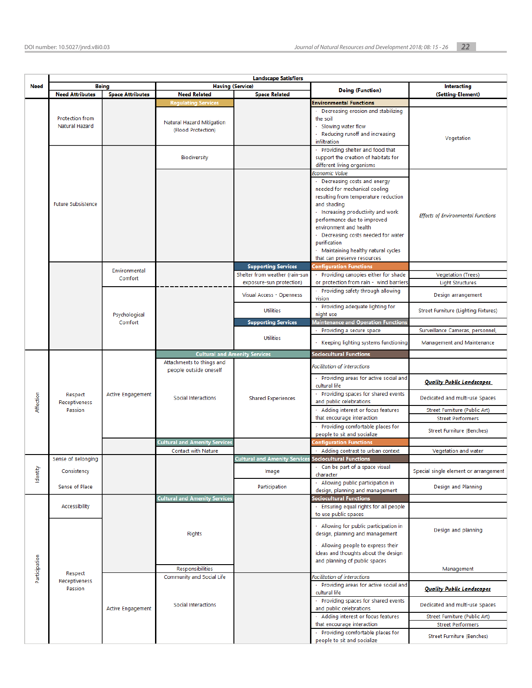|               | <b>Landscape Satisfiers</b>              |                          |                                                                               |                                                              |                                                                                                                                                                                                                                                                                                                                                                      |                                               |
|---------------|------------------------------------------|--------------------------|-------------------------------------------------------------------------------|--------------------------------------------------------------|----------------------------------------------------------------------------------------------------------------------------------------------------------------------------------------------------------------------------------------------------------------------------------------------------------------------------------------------------------------------|-----------------------------------------------|
| <b>Need</b>   |                                          | <b>Being</b>             | <b>Having (Service)</b>                                                       |                                                              | <b>Doing (Function)</b>                                                                                                                                                                                                                                                                                                                                              | <b>Interacting</b>                            |
|               | <b>Need Attributes</b>                   | <b>Space Attributes</b>  | <b>Need Related</b>                                                           | <b>Space Related</b>                                         |                                                                                                                                                                                                                                                                                                                                                                      | (Setting-Element)                             |
|               | <b>Protection from</b><br>Natural Hazard |                          | <b>Regulating Services</b><br>Natural Hazard Mitigation<br>(Flood Protection) |                                                              | <b>Environmental Functions</b><br>· Decreasing erosion and stabilizing<br>the soil<br>· Slowing water flow<br>· Reducing runoff and increasing<br>infiltration                                                                                                                                                                                                       | Vegetation                                    |
|               |                                          |                          | <b>Biodiversity</b>                                                           |                                                              | · Providing shelter and food that<br>support the creation of habitats for<br>different living organisms                                                                                                                                                                                                                                                              |                                               |
|               | <b>Future Subsistence</b>                |                          |                                                                               |                                                              | Economic Value<br>· Decreasing costs and energy<br>needed for mechanical cooling<br>resulting from temperature reduction<br>and shading<br>· Increasing productivity and work<br>performance due to improved<br>environment and health<br>· Decreasing costs needed for water<br>purification<br>· Maintaining healthy natural cycles<br>that can preserve resources | <b>Effects of Environmental Functions</b>     |
|               |                                          | Environmental            |                                                                               | <b>Supporting Services</b>                                   | Configuration Functions                                                                                                                                                                                                                                                                                                                                              |                                               |
|               |                                          | Comfort                  |                                                                               | Shelter from weather (rain-sun                               | · Providing canopies either for shade                                                                                                                                                                                                                                                                                                                                | <b>Vegetation (Trees)</b>                     |
|               |                                          |                          |                                                                               | exposure-sun protection)<br>Visual Access - Openness         | or protection from rain - wind barriers<br>· Providing safety through allowing<br>vision                                                                                                                                                                                                                                                                             | <b>Light Structures</b><br>Design arrangement |
|               |                                          | Psychological            |                                                                               | <b>Utilities</b>                                             | Providing adequate lighting for<br>night use                                                                                                                                                                                                                                                                                                                         | <b>Street Furniture (Lighting Fixtures)</b>   |
|               |                                          | Comfort                  |                                                                               | <b>Supporting Services</b>                                   | <b>Maintenance and Operation Functions</b>                                                                                                                                                                                                                                                                                                                           |                                               |
|               |                                          |                          |                                                                               |                                                              | Providing a secure space                                                                                                                                                                                                                                                                                                                                             | Surveillance Cameras, personnel,              |
|               |                                          |                          |                                                                               | <b>Utilities</b>                                             | Keeping lighting systems functioning                                                                                                                                                                                                                                                                                                                                 | Management and Maintenance                    |
|               |                                          |                          | <b>Cultural and Amenity Services</b>                                          |                                                              | <b>Sociocultural Functions</b>                                                                                                                                                                                                                                                                                                                                       |                                               |
|               | Respect<br>Receptiveness<br>Passion      | <b>Active Engagement</b> | Attachments to things and<br>people outside oneself                           |                                                              | Facilitation of interactions<br>Providing areas for active social and<br>cultural life<br>· Providing spaces for shared events                                                                                                                                                                                                                                       | <b>Quality Public Landscapes</b>              |
| Affection     |                                          |                          | Social Interactions                                                           | <b>Shared Experiences</b>                                    | and public celebrations                                                                                                                                                                                                                                                                                                                                              | Dedicated and multi-use Spaces                |
|               |                                          |                          |                                                                               |                                                              | · Adding interest or focus features                                                                                                                                                                                                                                                                                                                                  | Street Furniture (Public Art)                 |
|               |                                          |                          |                                                                               |                                                              | that encourage interaction                                                                                                                                                                                                                                                                                                                                           | <b>Street Performers</b>                      |
|               |                                          |                          |                                                                               |                                                              | Providing comfortable places for<br>people to sit and socialize                                                                                                                                                                                                                                                                                                      | Street Furniture (Benches)                    |
|               |                                          |                          | <b>Cultural and Amenity Services</b><br><b>Contact with Nature</b>            |                                                              | <b>Configuration Functions</b><br>· Adding contrast to urban context                                                                                                                                                                                                                                                                                                 | Vegetation and water                          |
|               | Sense of Belonging                       |                          |                                                                               | <b>Cultural and Amenity Services Sociocultural Functions</b> |                                                                                                                                                                                                                                                                                                                                                                      |                                               |
| Identity      | Consistency                              |                          |                                                                               | Image                                                        | · Can be part of a space visual<br>character                                                                                                                                                                                                                                                                                                                         | Special single element or arrangement         |
|               | Sense of Place                           |                          |                                                                               | Participation                                                | · Allowing public participation in<br>design, planning and management                                                                                                                                                                                                                                                                                                | Design and Planning                           |
|               |                                          |                          | <b>Cultural and Amenity Services</b>                                          |                                                              | <b>Sociocultural Functions</b>                                                                                                                                                                                                                                                                                                                                       |                                               |
| Participation | Accessibility                            |                          |                                                                               |                                                              | · Ensuring equal rights for all people<br>to use public spaces                                                                                                                                                                                                                                                                                                       |                                               |
|               |                                          |                          | <b>Rights</b>                                                                 |                                                              | · Allowing for public participation in<br>design, planning and management<br>· Allowing people to express their                                                                                                                                                                                                                                                      | Design and planning                           |
|               |                                          |                          |                                                                               |                                                              | ideas and thoughts about the design<br>and planning of public spaces                                                                                                                                                                                                                                                                                                 |                                               |
|               | Respect                                  |                          | Responsibilities<br>Community and Social Life                                 |                                                              | Facilitation of interactions                                                                                                                                                                                                                                                                                                                                         | Management                                    |
|               | Receptiveness<br>Passion                 |                          |                                                                               |                                                              | · Providing areas for active social and<br>cultural life                                                                                                                                                                                                                                                                                                             | <b>Quality Public Landscapes</b>              |
|               |                                          | <b>Active Engagement</b> | Social Interactions                                                           |                                                              | · Providing spaces for shared events<br>and public celebrations                                                                                                                                                                                                                                                                                                      | Dedicated and multi-use Spaces                |
|               |                                          |                          |                                                                               |                                                              | · Adding interest or focus features                                                                                                                                                                                                                                                                                                                                  | Street Furniture (Public Art)                 |
|               |                                          |                          |                                                                               |                                                              | that encourage interaction                                                                                                                                                                                                                                                                                                                                           | <b>Street Performers</b>                      |
|               |                                          |                          |                                                                               |                                                              | · Providing comfortable places for<br>people to sit and socialize                                                                                                                                                                                                                                                                                                    | Street Furniture (Benches)                    |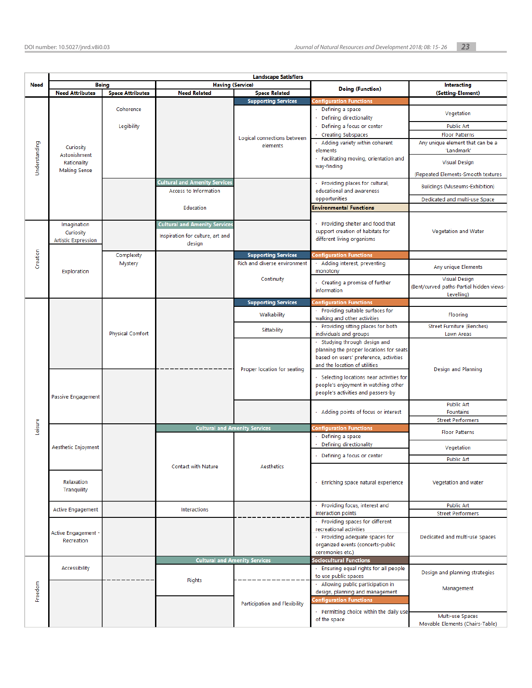|               |                            | <b>Landscape Satisfiers</b> |                                      |                               |                                                               |                                          |  |  |
|---------------|----------------------------|-----------------------------|--------------------------------------|-------------------------------|---------------------------------------------------------------|------------------------------------------|--|--|
| <b>Need</b>   | <b>Being</b>               |                             | <b>Having (Service)</b>              |                               |                                                               | <b>Interacting</b>                       |  |  |
|               | <b>Need Attributes</b>     | <b>Space Attributes</b>     | <b>Need Related</b>                  | <b>Space Related</b>          | <b>Doing (Function)</b>                                       | (Setting-Element)                        |  |  |
|               |                            |                             |                                      | <b>Supporting Services</b>    | Configuration Functions                                       |                                          |  |  |
|               |                            | Coherence                   |                                      |                               | Defining a space                                              |                                          |  |  |
|               |                            |                             |                                      |                               | Defining directionality                                       | Vegetation                               |  |  |
|               |                            |                             |                                      |                               | Defining a focus or center                                    |                                          |  |  |
|               |                            | Legibility                  |                                      |                               |                                                               | <b>Public Art</b>                        |  |  |
|               |                            |                             |                                      | Logical connections between   | <b>Creating Subspaces</b>                                     | <b>Floor Patterns</b>                    |  |  |
|               | Curiosity                  |                             |                                      | elements                      | Adding variety within coherent                                | Any unique element that can be a         |  |  |
|               | Astonishment               |                             |                                      |                               | elements                                                      | 'Landmark'                               |  |  |
|               | Rationality                |                             |                                      |                               | · Facilitating moving, orientation and                        | <b>Visual Design</b>                     |  |  |
| Understanding | <b>Making Sense</b>        |                             |                                      |                               | way-finding                                                   |                                          |  |  |
|               |                            |                             | <b>Cultural and Amenity Services</b> |                               |                                                               | (Repeated Elements-Smooth textures       |  |  |
|               |                            |                             |                                      |                               | · Providing places for cultural,                              | <b>Buildings (Museums-Exhibition)</b>    |  |  |
|               |                            |                             | Access to Information                |                               | educational and awareness                                     |                                          |  |  |
|               |                            |                             |                                      |                               | opportunities                                                 | Dedicated and multi-use Space            |  |  |
|               |                            |                             | Education                            |                               | <b>Environmental Functions</b>                                |                                          |  |  |
|               |                            |                             |                                      |                               |                                                               |                                          |  |  |
|               | Imagination                |                             | <b>Cultural and Amenity Services</b> |                               | Providing shelter and food that                               |                                          |  |  |
|               | Curiosity                  |                             | Inspiration for culture, art and     |                               | support creation of habitats for                              | Vegetation and Water                     |  |  |
|               | <b>Artistic Expression</b> |                             | design                               |                               | different living organisms                                    |                                          |  |  |
|               |                            |                             |                                      |                               |                                                               |                                          |  |  |
| Creation      |                            | Complexity                  |                                      | <b>Supporting Services</b>    | <b>Configuration Functions</b>                                |                                          |  |  |
|               |                            | Mystery                     |                                      | Rich and diverse environment  | Adding interest, preventing                                   | Any unique Elements                      |  |  |
|               | Exploration                |                             |                                      |                               | monotony                                                      |                                          |  |  |
|               |                            |                             |                                      | Continuity                    | $\cdot$ Creating a promise of further                         | <b>Visual Design</b>                     |  |  |
|               |                            |                             |                                      |                               | information                                                   | (Bent/curved paths-Partial hidden views- |  |  |
|               |                            |                             |                                      |                               |                                                               | Levelling)                               |  |  |
|               |                            |                             |                                      | <b>Supporting Services</b>    | <b>Configuration Functions</b>                                |                                          |  |  |
|               |                            |                             |                                      | Walkability                   | · Providing suitable surfaces for                             | <b>Flooring</b>                          |  |  |
|               |                            |                             |                                      |                               | walking and other activities                                  |                                          |  |  |
|               |                            | <b>Physical Comfort</b>     |                                      | Sittability                   | · Providing sitting places for both<br>individuals and groups | Street Furniture (Benches)<br>Lawn Areas |  |  |
|               |                            |                             |                                      |                               | Studying through design and                                   |                                          |  |  |
|               |                            |                             |                                      |                               | planning the proper locations for seats                       |                                          |  |  |
|               |                            |                             |                                      |                               | based on users' preference, activities                        |                                          |  |  |
|               |                            |                             |                                      |                               | and the location of utilities                                 |                                          |  |  |
|               |                            |                             |                                      | Proper location for seating   |                                                               | Design and Planning                      |  |  |
|               |                            |                             |                                      |                               | · Selecting locations near activities for                     |                                          |  |  |
|               |                            |                             |                                      |                               | people's enjoyment in watching other                          |                                          |  |  |
|               | Passive Engagement         |                             |                                      |                               | people's activities and passers-by                            |                                          |  |  |
|               |                            |                             |                                      |                               |                                                               | <b>Public Art</b>                        |  |  |
|               |                            |                             |                                      |                               | · Adding points of focus or interest                          | <b>Fountains</b>                         |  |  |
|               |                            |                             |                                      |                               |                                                               | <b>Street Performers</b>                 |  |  |
| Leisure       |                            |                             | <b>Cultural and Amenity Services</b> |                               | <b>Configuration Functions</b>                                |                                          |  |  |
|               |                            |                             |                                      |                               | Defining a space                                              | <b>Floor Patterns</b>                    |  |  |
|               | Aesthetic Enjoyment        |                             |                                      |                               | Defining directionality                                       | Vegetation                               |  |  |
|               |                            |                             |                                      |                               | Defining a focus or center                                    |                                          |  |  |
|               |                            |                             |                                      |                               |                                                               | <b>Public Art</b>                        |  |  |
|               |                            |                             | <b>Contact with Nature</b>           | Aesthetics                    |                                                               |                                          |  |  |
|               |                            |                             |                                      |                               |                                                               |                                          |  |  |
|               | Relaxation                 |                             |                                      |                               | Enriching space natural experience                            | Vegetation and water                     |  |  |
|               | Tranquility                |                             |                                      |                               |                                                               |                                          |  |  |
|               |                            |                             |                                      |                               | · Providing focus, interest and                               | <b>Public Art</b>                        |  |  |
|               | <b>Active Engagement</b>   |                             | Interactions                         |                               | interaction points                                            |                                          |  |  |
|               |                            |                             |                                      |                               | · Providing spaces for different                              | <b>Street Performers</b>                 |  |  |
|               |                            |                             |                                      |                               | recreational activities                                       |                                          |  |  |
|               | Active Engagement ·        |                             |                                      |                               | · Providing adequate spaces for                               | Dedicated and multi-use Spaces           |  |  |
|               | Recreation                 |                             |                                      |                               | organized events (concerts-public                             |                                          |  |  |
|               |                            |                             |                                      |                               | ceremonies etc.)                                              |                                          |  |  |
|               |                            |                             | <b>Cultural and Amenity Services</b> |                               | <b>Sociocultural Functions</b>                                |                                          |  |  |
|               | Accessibility              |                             |                                      |                               | · Ensuring equal rights for all people                        |                                          |  |  |
|               |                            |                             |                                      |                               | to use public spaces                                          | Design and planning strategies           |  |  |
|               |                            |                             | <b>Rights</b>                        |                               | · Allowing public participation in                            |                                          |  |  |
| Freedom       |                            |                             |                                      |                               | design, planning and management                               | Management                               |  |  |
|               |                            |                             |                                      |                               | Configuration Functions                                       |                                          |  |  |
|               |                            |                             |                                      | Participation and Flexibility |                                                               |                                          |  |  |
|               |                            |                             |                                      |                               | · Permitting choice within the daily use                      | Multi-use Spaces                         |  |  |
|               |                            |                             |                                      |                               | of the space                                                  | Movable Elements (Chairs-Table)          |  |  |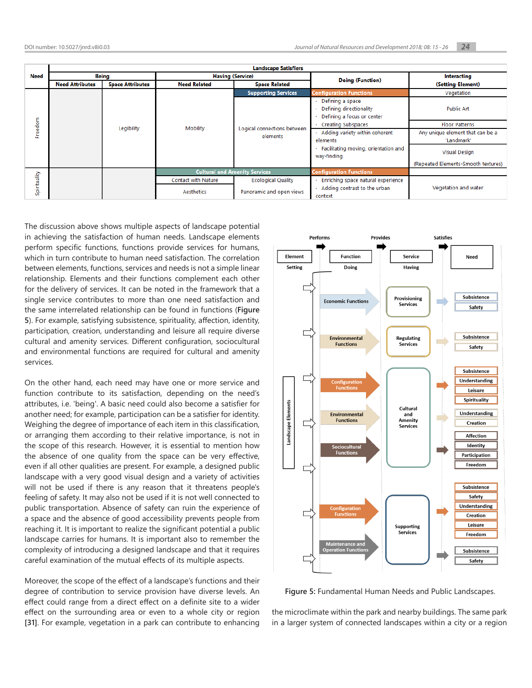|                  | <b>Landscape Satisfiers</b> |                         |                                      |                                         |                                                                           |                                     |
|------------------|-----------------------------|-------------------------|--------------------------------------|-----------------------------------------|---------------------------------------------------------------------------|-------------------------------------|
| <b>Need</b>      | Being                       |                         | <b>Having (Service)</b>              |                                         |                                                                           | Interacting                         |
|                  | <b>Need Attributes</b>      | <b>Space Attributes</b> | <b>Need Related</b>                  | <b>Space Related</b>                    | <b>Doing (Function)</b>                                                   | (Setting-Element)                   |
|                  |                             |                         |                                      | <b>Supporting Services</b>              | <b>Configuration Functions</b>                                            | Vegetation                          |
| Freedom          | Legibility                  |                         | Mobility                             | Logical connections between<br>elements | Defining a space<br>Defining directionality<br>Defining a focus or center | <b>Public Art</b>                   |
|                  |                             |                         |                                      |                                         | <b>Creating Subspaces</b>                                                 | <b>Floor Patterns</b>               |
|                  |                             |                         |                                      |                                         | Adding variety within coherent                                            | Any unique element that can be a    |
|                  |                             |                         |                                      |                                         | elements                                                                  | 'Landmark'                          |
|                  |                             |                         |                                      |                                         | Facilitating moving, orientation and<br>way-finding                       | <b>Visual Design</b>                |
|                  |                             |                         |                                      |                                         |                                                                           | (Repeated Elements-Smooth textures) |
|                  |                             |                         | <b>Cultural and Amenity Services</b> |                                         | <b>Configuration Functions</b>                                            |                                     |
|                  |                             |                         | <b>Contact with Nature</b>           | <b>Ecological Quality</b>               | Enriching space natural experience                                        |                                     |
| pirituality<br>S |                             |                         | <b>Aesthetics</b>                    | Panoramic and open views                | Adding contrast to the urban<br>context                                   | Vegetation and water                |

The discussion above shows multiple aspects of landscape potential in achieving the satisfaction of human needs. Landscape elements perform specific functions, functions provide services for humans, which in turn contribute to human need satisfaction. The correlation between elements, functions, services and needs is not a simple linear relationship. Elements and their functions complement each other for the delivery of services. It can be noted in the framework that a single service contributes to more than one need satisfaction and the same interrelated relationship can be found in functions (**[Figure](#page-9-0)  [5](#page-9-0)**). For example, satisfying subsistence, spirituality, affection, identity, participation, creation, understanding and leisure all require diverse cultural and amenity services. Different configuration, sociocultural and environmental functions are required for cultural and amenity services.

On the other hand, each need may have one or more service and function contribute to its satisfaction, depending on the need's attributes, i.e. 'being'. A basic need could also become a satisfier for another need; for example, participation can be a satisfier for identity. Weighing the degree of importance of each item in this classification, or arranging them according to their relative importance, is not in the scope of this research. However, it is essential to mention how the absence of one quality from the space can be very effective, even if all other qualities are present. For example, a designed public landscape with a very good visual design and a variety of activities will not be used if there is any reason that it threatens people's feeling of safety. It may also not be used if it is not well connected to public transportation. Absence of safety can ruin the experience of a space and the absence of good accessibility prevents people from reaching it. It is important to realize the significant potential a public landscape carries for humans. It is important also to remember the complexity of introducing a designed landscape and that it requires careful examination of the mutual effects of its multiple aspects.

Moreover, the scope of the effect of a landscape's functions and their degree of contribution to service provision have diverse levels. An effect could range from a direct effect on a definite site to a wider effect on the surrounding area or even to a whole city or region **[\[31\]](#page-11-3)**. For example, vegetation in a park can contribute to enhancing



<span id="page-9-0"></span>**Figure 5:** Fundamental Human Needs and Public Landscapes.

the microclimate within the park and nearby buildings. The same park in a larger system of connected landscapes within a city or a region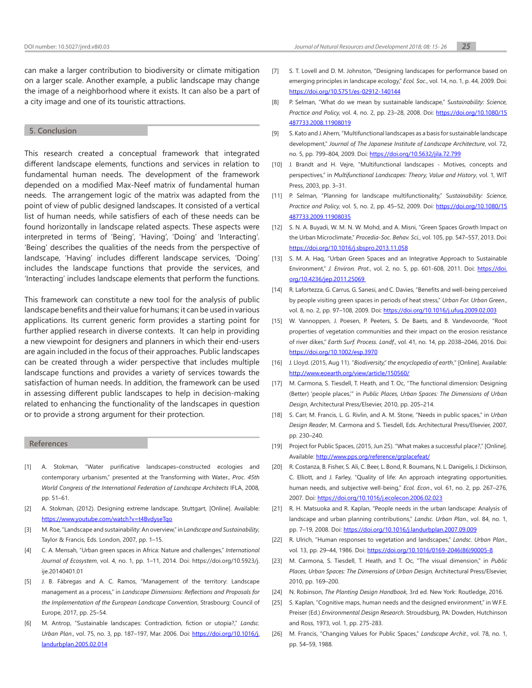can make a larger contribution to biodiversity or climate mitigation on a larger scale. Another example, a public landscape may change the image of a neighborhood where it exists. It can also be a part of a city image and one of its touristic attractions.

## **5. Conclusion**

This research created a conceptual framework that integrated different landscape elements, functions and services in relation to fundamental human needs. The development of the framework depended on a modified Max-Neef matrix of fundamental human needs. The arrangement logic of the matrix was adapted from the point of view of public designed landscapes. It consisted of a vertical list of human needs, while satisfiers of each of these needs can be found horizontally in landscape related aspects. These aspects were interpreted in terms of 'Being', 'Having', 'Doing' and 'Interacting'. 'Being' describes the qualities of the needs from the perspective of landscape, 'Having' includes different landscape services, 'Doing' includes the landscape functions that provide the services, and 'Interacting' includes landscape elements that perform the functions.

This framework can constitute a new tool for the analysis of public landscape benefits and their value for humans; it can be used in various applications. Its current generic form provides a starting point for further applied research in diverse contexts. It can help in providing a new viewpoint for designers and planners in which their end-users are again included in the focus of their approaches. Public landscapes can be created through a wider perspective that includes multiple landscape functions and provides a variety of services towards the satisfaction of human needs. In addition, the framework can be used in assessing different public landscapes to help in decision-making related to enhancing the functionality of the landscapes in question or to provide a strong argument for their protection.

#### **References**

- <span id="page-10-0"></span>[1] A. Stokman, "Water purificative landscapes–constructed ecologies and contemporary urbanism," presented at the Transforming with Water., *Proc. 45th World Congress of the International Federation of Landscape Architects* IFLA, 2008, pp. 51–61.
- [2] A. Stokman, (2012). Designing extreme landscape. Stuttgart, [Online]. Available: [https://www.youtube.com/watch?v=t4BvdyseTqo](https://www.youtube.com/watch?v=t4BvdyseTqo )
- <span id="page-10-1"></span>[3] M. Roe, "Landscape and sustainability: An overview," in L*andscape and Sustainability*, Taylor & Francis, Eds. London, 2007, pp. 1–15.
- <span id="page-10-2"></span>[4] C. A. Mensah, "Urban green spaces in Africa: Nature and challenges," *International Journal of Ecosystem*, vol. 4, no. 1, pp. 1–11, 2014. Doi: https://doi.org/10.5923/j. ije.20140401.01
- <span id="page-10-3"></span>[5] J. B. Fàbregas and A. C. Ramos, "Management of the territory: Landscape management as a process," in *Landscape Dimensions: Reflections and Proposals for the Implementation of the European Landscape Convention*, Strasbourg: Council of Europe, 2017, pp. 25–54.
- <span id="page-10-4"></span>[6] M. Antrop, "Sustainable landscapes: Contradiction, fiction or utopia?," *Landsc. Urban Plan*., vol. 75, no. 3, pp. 187–197, Mar. 2006. Doi: [https://doi.org/10.1016/j.](https://doi.org/10.1016/j.landurbplan.2005.02.014 ) [landurbplan.2005.02.014](https://doi.org/10.1016/j.landurbplan.2005.02.014 )
- <span id="page-10-5"></span>[7] S. T. Lovell and D. M. Johnston, "Designing landscapes for performance based on emerging principles in landscape ecology," *Ecol. Soc*., vol. 14, no. 1, p. 44, 2009. Doi: <https://doi.org/10.5751/es-02912-140144>
- <span id="page-10-19"></span>[8] P. Selman, "What do we mean by sustainable landscape," S*ustainability: Science, Practice and Policy,* vol. 4, no. 2, pp. 23–28, 2008. Doi: [https://doi.org/10.1080/15](https://doi.org/10.1080/15487733.2008.11908019 ) [487733.2008.11908019](https://doi.org/10.1080/15487733.2008.11908019 )
- <span id="page-10-6"></span>[9] S. Kato and J. Ahern, "Multifunctional landscapes as a basis for sustainable landscape development," *Journal of The Japanese Institute of Landscape Architecture*, vol. 72, no. 5, pp. 799–804, 2009. Doi: <https://doi.org/10.5632/jila.72.799>
- <span id="page-10-7"></span>[10] J. Brandt and H. Vejre, "Multifunctional landscapes - Motives, concepts and perspectives," in *Multifunctional Landscapes: Theory, Value and History*, vol. 1, WIT Press, 2003, pp. 3–31.
- <span id="page-10-8"></span>[11] P. Selman, "Planning for landscape multifunctionality," S*ustainability: Science, Practice and Policy,* vol. 5, no. 2, pp. 45–52, 2009. Doi: [https://doi.org/10.1080/15](https://doi.org/10.1080/15487733.2009.11908035 ) [487733.2009.11908035](https://doi.org/10.1080/15487733.2009.11908035 )
- <span id="page-10-9"></span>[12] S. N. A. Buyadi, W. M. N. W. Mohd, and A. Misni, "Green Spaces Growth Impact on the Urban Microclimate," *Procedia-Soc. Behav. Sci.*, vol. 105, pp. 547–557, 2013. Doi: <https://doi.org/10.1016/j.sbspro.2013.11.058>
- <span id="page-10-12"></span>[13] S. M. A. Haq, "Urban Green Spaces and an Integrative Approach to Sustainable Environment," *J. Environ. Prot.*, vol. 2, no. 5, pp. 601-608, 2011. Doi: https://doi. org/10.4236/jep.2011.25069
- <span id="page-10-10"></span>[14] R. Lafortezza, G. Carrus, G. Sanesi, and C. Davies, "Benefits and well-being perceived by people visiting green spaces in periods of heat stress," *Urban For. Urban Green*., vol. 8, no. 2, pp. 97–108, 2009. Doi: <https://doi.org/10.1016/j.ufug.2009.02.003>
- <span id="page-10-11"></span>[15] W. Vannoppen, J. Poesen, P. Peeters, S. De Baets, and B. Vandevoorde, "Root properties of vegetation communities and their impact on the erosion resistance of river dikes," *Earth Surf. Process. Landf*., vol. 41, no. 14, pp. 2038–2046, 2016. Doi: <https://doi.org/10.1002/esp.3970>
- <span id="page-10-13"></span>[16] J. Lloyd. (2015, Aug 11). "*Biodiversity," the encyclopedia of earth*," [Online]. Available: <http://www.eoearth.org/view/article/150560/>
- <span id="page-10-14"></span>[17] M. Carmona, S. Tiesdell, T. Heath, and T. Oc, "The functional dimension: Designing (Better) 'people places,'" in *Public Places, Urban Spaces: The Dimensions of Urban Design*, Architectural Press/Elsevier, 2010, pp. 205–214.
- <span id="page-10-22"></span>[18] S. Carr, M. Francis, L. G. Rivlin, and A. M. Stone, "Needs in public spaces," in *Urban Design Reader*, M. Carmona and S. Tiesdell, Eds. Architectural Press/Elsevier, 2007, pp. 230–240.
- <span id="page-10-15"></span>[19] Project for Public Spaces, (2015, Jun 25). "What makes a successful place?," [Online]. Available: [http://www.pps.org/reference/grplacefeat/](http://www.pps.org/reference/grplacefeat/ )
- <span id="page-10-16"></span>[20] R. Costanza, B. Fisher, S. Ali, C. Beer, L. Bond, R. Boumans, N. L. Danigelis, J. Dickinson, C. Elliott, and J. Farley, "Quality of life: An approach integrating opportunities, human needs, and subjective well-being," *Ecol. Econ*., vol. 61, no. 2, pp. 267–276, 2007. Doi: <https://doi.org/10.1016/j.ecolecon.2006.02.023>
- <span id="page-10-17"></span>[21] R. H. Matsuoka and R. Kaplan, "People needs in the urban landscape: Analysis of landscape and urban planning contributions," *Landsc. Urban Plan*., vol. 84, no. 1, pp. 7–19, 2008. Doi: [https://doi.org/10.1016/j.landurbplan.2007.09.009](https://doi.org/10.1016/j.landurbplan.2007.09.009 )
- <span id="page-10-18"></span>[22] R. Ulrich, "Human responses to vegetation and landscapes," *Landsc. Urban Plan*., vol. 13, pp. 29-44, 1986. Doi: [https://doi.org/10.1016/0169-2046\(86\)90005-8](https://doi.org/10.1016/0169-2046(86)90005-8)
- <span id="page-10-20"></span>[23] M. Carmona, S. Tiesdell, T. Heath, and T. Oc, "The visual dimension," in *Public Places, Urban Spaces: The Dimensions of Urban Design,* Architectural Press/Elsevier, 2010, pp. 169–200.
- [24] N. Robinson, *The Planting Design Handbook*, 3rd ed. New York: Routledge, 2016.
- <span id="page-10-21"></span>[25] S. Kaplan, "Cognitive maps, human needs and the designed environment," in W.F.E. Preiser (Ed.) *Environmental Design Research*. Stroudsburg, PA: Dowden, Hutchinson and Ross, 1973, vol. 1, pp. 275-283.
- <span id="page-10-23"></span>[26] M. Francis, "Changing Values for Public Spaces," *Landscape Archit*., vol. 78, no. 1, pp. 54–59, 1988.